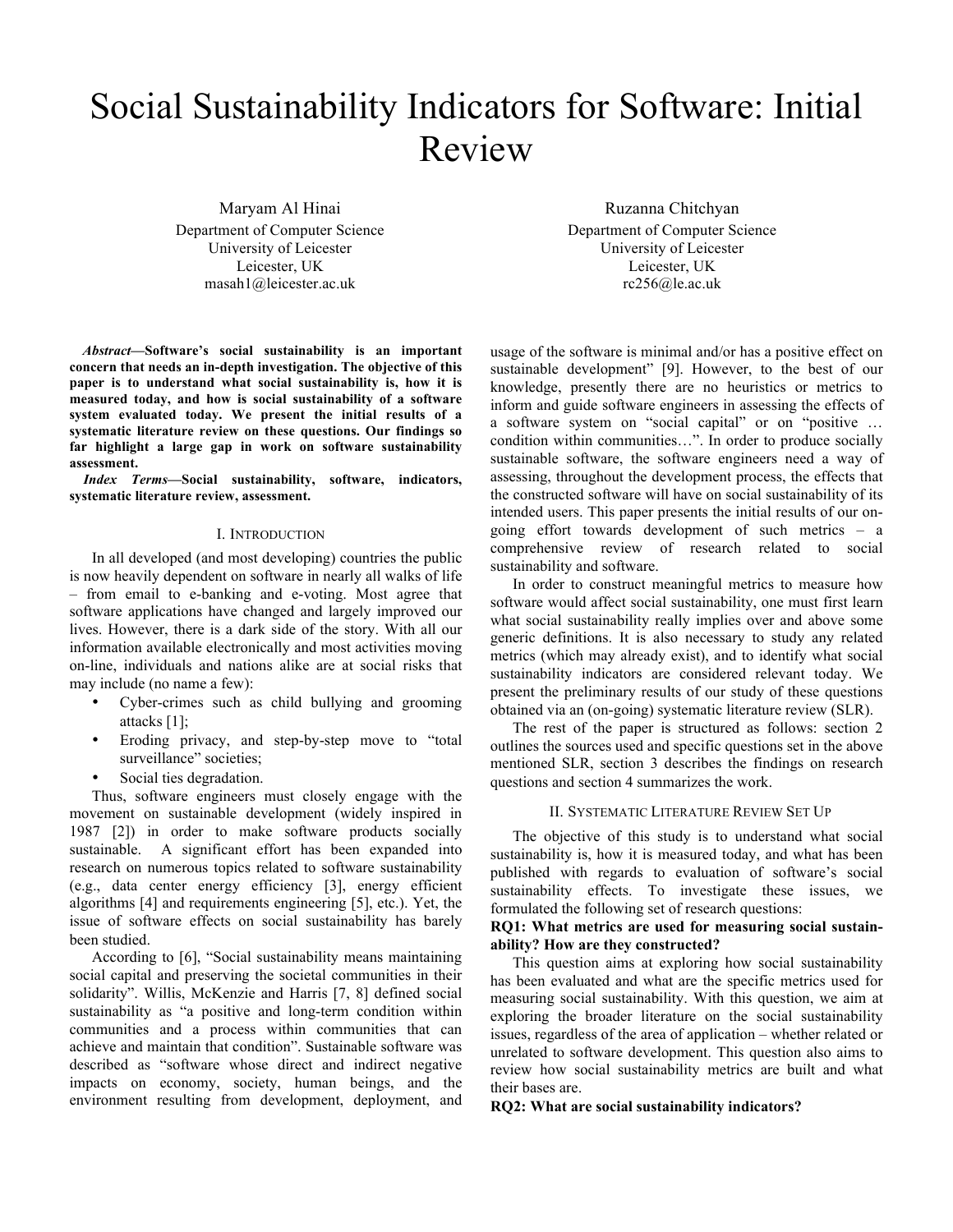# Social Sustainability Indicators for Software: Initial Review

Maryam Al Hinai Department of Computer Science University of Leicester Leicester, UK masah1@leicester.ac.uk

Ruzanna Chitchyan Department of Computer Science University of Leicester Leicester, UK rc256@le.ac.uk

*Abstract***—Software's social sustainability is an important concern that needs an in-depth investigation. The objective of this paper is to understand what social sustainability is, how it is measured today, and how is social sustainability of a software system evaluated today. We present the initial results of a systematic literature review on these questions. Our findings so far highlight a large gap in work on software sustainability assessment.**

*Index Terms***—Social sustainability, software, indicators, systematic literature review, assessment.**

## I. INTRODUCTION

In all developed (and most developing) countries the public is now heavily dependent on software in nearly all walks of life – from email to e-banking and e-voting. Most agree that software applications have changed and largely improved our lives. However, there is a dark side of the story. With all our information available electronically and most activities moving on-line, individuals and nations alike are at social risks that may include (no name a few):

- Cyber-crimes such as child bullying and grooming attacks [1];
- Eroding privacy, and step-by-step move to "total surveillance" societies;
- Social ties degradation.

Thus, software engineers must closely engage with the movement on sustainable development (widely inspired in 1987 [2]) in order to make software products socially sustainable. A significant effort has been expanded into research on numerous topics related to software sustainability (e.g., data center energy efficiency [3], energy efficient algorithms [4] and requirements engineering [5], etc.). Yet, the issue of software effects on social sustainability has barely been studied.

According to [6], "Social sustainability means maintaining social capital and preserving the societal communities in their solidarity". Willis, McKenzie and Harris [7, 8] defined social sustainability as "a positive and long-term condition within communities and a process within communities that can achieve and maintain that condition". Sustainable software was described as "software whose direct and indirect negative impacts on economy, society, human beings, and the environment resulting from development, deployment, and

usage of the software is minimal and/or has a positive effect on sustainable development" [9]. However, to the best of our knowledge, presently there are no heuristics or metrics to inform and guide software engineers in assessing the effects of a software system on "social capital" or on "positive … condition within communities…". In order to produce socially sustainable software, the software engineers need a way of assessing, throughout the development process, the effects that the constructed software will have on social sustainability of its intended users. This paper presents the initial results of our ongoing effort towards development of such metrics – a comprehensive review of research related to social sustainability and software.

In order to construct meaningful metrics to measure how software would affect social sustainability, one must first learn what social sustainability really implies over and above some generic definitions. It is also necessary to study any related metrics (which may already exist), and to identify what social sustainability indicators are considered relevant today. We present the preliminary results of our study of these questions obtained via an (on-going) systematic literature review (SLR).

The rest of the paper is structured as follows: section 2 outlines the sources used and specific questions set in the above mentioned SLR, section 3 describes the findings on research questions and section 4 summarizes the work.

## II. SYSTEMATIC LITERATURE REVIEW SET UP

The objective of this study is to understand what social sustainability is, how it is measured today, and what has been published with regards to evaluation of software's social sustainability effects. To investigate these issues, we formulated the following set of research questions:

# **RQ1: What metrics are used for measuring social sustainability? How are they constructed?**

This question aims at exploring how social sustainability has been evaluated and what are the specific metrics used for measuring social sustainability. With this question, we aim at exploring the broader literature on the social sustainability issues, regardless of the area of application – whether related or unrelated to software development. This question also aims to review how social sustainability metrics are built and what their bases are.

## **RQ2: What are social sustainability indicators?**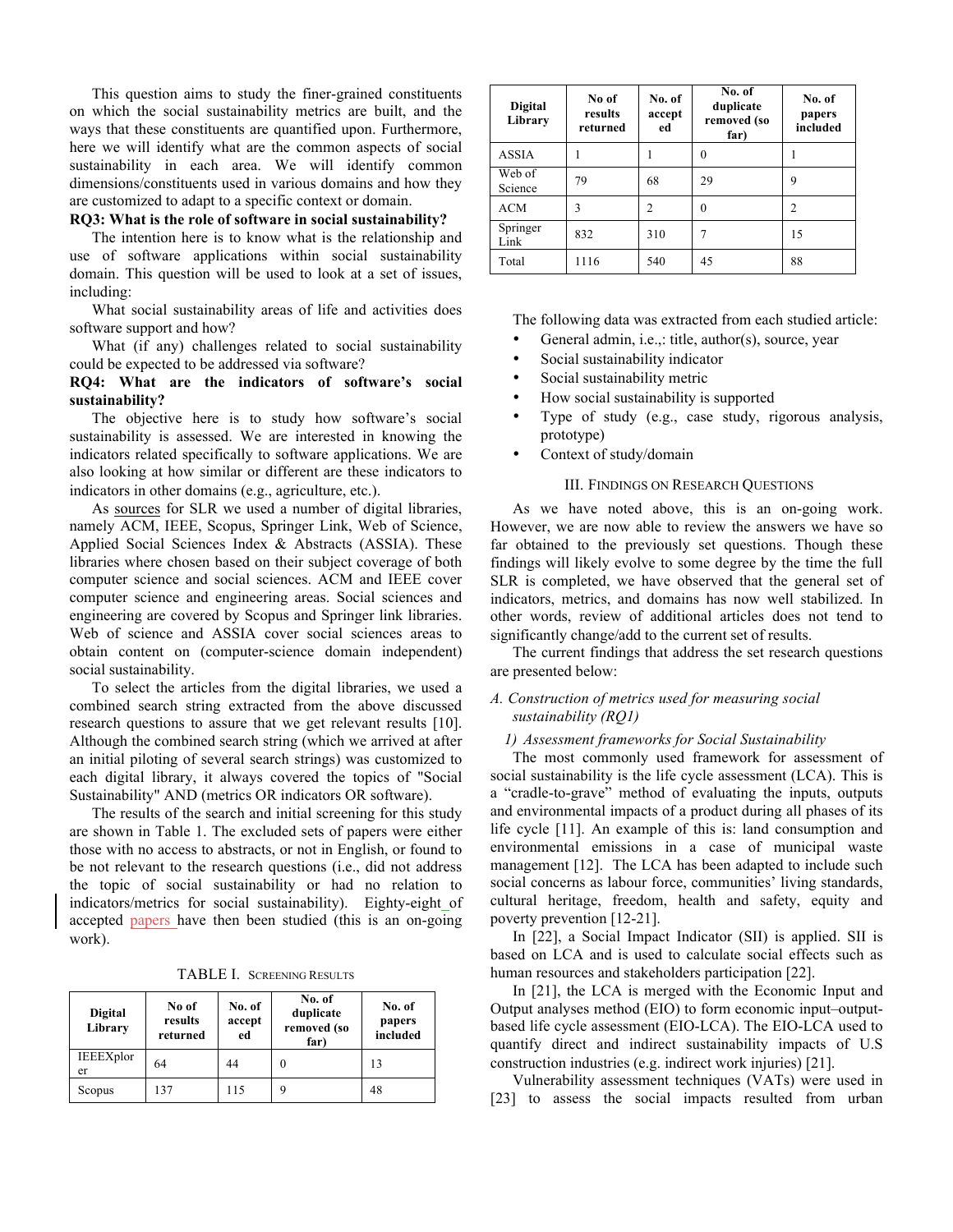This question aims to study the finer-grained constituents on which the social sustainability metrics are built, and the ways that these constituents are quantified upon. Furthermore, here we will identify what are the common aspects of social sustainability in each area. We will identify common dimensions/constituents used in various domains and how they are customized to adapt to a specific context or domain.

#### **RQ3: What is the role of software in social sustainability?**

The intention here is to know what is the relationship and use of software applications within social sustainability domain. This question will be used to look at a set of issues, including:

What social sustainability areas of life and activities does software support and how?

What (if any) challenges related to social sustainability could be expected to be addressed via software?

## **RQ4: What are the indicators of software's social sustainability?**

The objective here is to study how software's social sustainability is assessed. We are interested in knowing the indicators related specifically to software applications. We are also looking at how similar or different are these indicators to indicators in other domains (e.g., agriculture, etc.).

As sources for SLR we used a number of digital libraries, namely ACM, IEEE, Scopus, Springer Link, Web of Science, Applied Social Sciences Index & Abstracts (ASSIA). These libraries where chosen based on their subject coverage of both computer science and social sciences. ACM and IEEE cover computer science and engineering areas. Social sciences and engineering are covered by Scopus and Springer link libraries. Web of science and ASSIA cover social sciences areas to obtain content on (computer-science domain independent) social sustainability.

To select the articles from the digital libraries, we used a combined search string extracted from the above discussed research questions to assure that we get relevant results [10]. Although the combined search string (which we arrived at after an initial piloting of several search strings) was customized to each digital library, it always covered the topics of "Social Sustainability" AND (metrics OR indicators OR software).

The results of the search and initial screening for this study are shown in Table 1. The excluded sets of papers were either those with no access to abstracts, or not in English, or found to be not relevant to the research questions (i.e., did not address the topic of social sustainability or had no relation to indicators/metrics for social sustainability). Eighty-eight of accepted papers have then been studied (this is an on-going work).

TABLE I. SCREENING RESULTS

| <b>Digital</b><br>Library | No of<br>results<br>returned | No. of<br>accept<br>ed | No. of<br>duplicate<br>removed (so<br>far) | No. of<br>papers<br>included |
|---------------------------|------------------------------|------------------------|--------------------------------------------|------------------------------|
| IEEEXplor<br>er           | 64                           | 44                     |                                            | 13                           |
| Scopus                    | 137                          | 115                    |                                            | 48                           |

| <b>Digital</b><br>Library | No of<br>results<br>returned | No. of<br>accept<br>ed | No. of<br>duplicate<br>removed (so<br>far) | No. of<br>papers<br>included |
|---------------------------|------------------------------|------------------------|--------------------------------------------|------------------------------|
| <b>ASSIA</b>              |                              |                        | 0                                          |                              |
| Web of<br>Science         | 79                           | 68                     | 29                                         | 9                            |
| <b>ACM</b>                | 3                            | 2                      | 0                                          | $\mathfrak{D}$               |
| Springer<br>Link          | 832                          | 310                    | 7                                          | 15                           |
| Total                     | 1116                         | 540                    | 45                                         | 88                           |

The following data was extracted from each studied article:

- General admin, i.e.,: title, author(s), source, year
- Social sustainability indicator
- Social sustainability metric
- How social sustainability is supported
- Type of study (e.g., case study, rigorous analysis, prototype)
- Context of study/domain

## III. FINDINGS ON RESEARCH QUESTIONS

As we have noted above, this is an on-going work. However, we are now able to review the answers we have so far obtained to the previously set questions. Though these findings will likely evolve to some degree by the time the full SLR is completed, we have observed that the general set of indicators, metrics, and domains has now well stabilized. In other words, review of additional articles does not tend to significantly change/add to the current set of results.

The current findings that address the set research questions are presented below:

## *A. Construction of metrics used for measuring social sustainability (RQ1)*

## *1) Assessment frameworks for Social Sustainability*

The most commonly used framework for assessment of social sustainability is the life cycle assessment (LCA). This is a "cradle-to-grave" method of evaluating the inputs, outputs and environmental impacts of a product during all phases of its life cycle [11]. An example of this is: land consumption and environmental emissions in a case of municipal waste management [12]. The LCA has been adapted to include such social concerns as labour force, communities' living standards, cultural heritage, freedom, health and safety, equity and poverty prevention [12-21].

In [22], a Social Impact Indicator (SII) is applied. SII is based on LCA and is used to calculate social effects such as human resources and stakeholders participation [22].

In [21], the LCA is merged with the Economic Input and Output analyses method (EIO) to form economic input–outputbased life cycle assessment (EIO-LCA). The EIO-LCA used to quantify direct and indirect sustainability impacts of U.S construction industries (e.g. indirect work injuries) [21].

Vulnerability assessment techniques (VATs) were used in [23] to assess the social impacts resulted from urban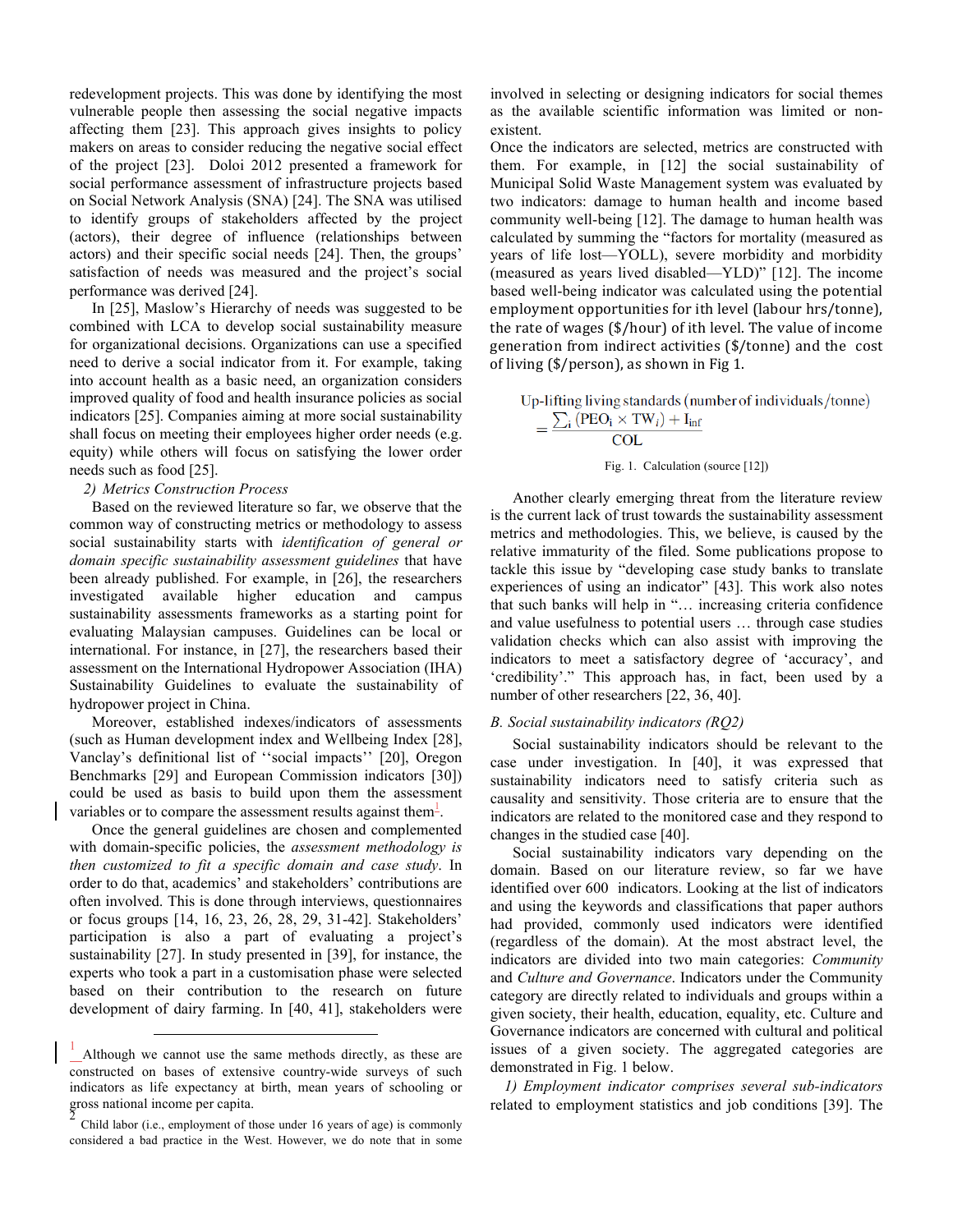redevelopment projects. This was done by identifying the most vulnerable people then assessing the social negative impacts affecting them [23]. This approach gives insights to policy makers on areas to consider reducing the negative social effect of the project [23]. Doloi 2012 presented a framework for social performance assessment of infrastructure projects based on Social Network Analysis (SNA) [24]. The SNA was utilised to identify groups of stakeholders affected by the project (actors), their degree of influence (relationships between actors) and their specific social needs [24]. Then, the groups' satisfaction of needs was measured and the project's social performance was derived [24].

In [25], Maslow's Hierarchy of needs was suggested to be combined with LCA to develop social sustainability measure for organizational decisions. Organizations can use a specified need to derive a social indicator from it. For example, taking into account health as a basic need, an organization considers improved quality of food and health insurance policies as social indicators [25]. Companies aiming at more social sustainability shall focus on meeting their employees higher order needs (e.g. equity) while others will focus on satisfying the lower order needs such as food [25].

## *2) Metrics Construction Process*

Based on the reviewed literature so far, we observe that the common way of constructing metrics or methodology to assess social sustainability starts with *identification of general or domain specific sustainability assessment guidelines* that have been already published. For example, in [26], the researchers investigated available higher education and campus sustainability assessments frameworks as a starting point for evaluating Malaysian campuses. Guidelines can be local or international. For instance, in [27], the researchers based their assessment on the International Hydropower Association (IHA) Sustainability Guidelines to evaluate the sustainability of hydropower project in China.

Moreover, established indexes/indicators of assessments (such as Human development index and Wellbeing Index [28], Vanclay's definitional list of ''social impacts'' [20], Oregon Benchmarks [29] and European Commission indicators [30]) could be used as basis to build upon them the assessment variables or to compare the assessment results against them $\frac{1}{2}$ .

Once the general guidelines are chosen and complemented with domain-specific policies, the *assessment methodology is then customized to fit a specific domain and case study*. In order to do that, academics' and stakeholders' contributions are often involved. This is done through interviews, questionnaires or focus groups [14, 16, 23, 26, 28, 29, 31-42]. Stakeholders' participation is also a part of evaluating a project's sustainability [27]. In study presented in [39], for instance, the experts who took a part in a customisation phase were selected based on their contribution to the research on future development of dairy farming. In [40, 41], stakeholders were involved in selecting or designing indicators for social themes as the available scientific information was limited or nonexistent.

Once the indicators are selected, metrics are constructed with them. For example, in [12] the social sustainability of Municipal Solid Waste Management system was evaluated by two indicators: damage to human health and income based community well-being [12]. The damage to human health was calculated by summing the "factors for mortality (measured as years of life lost—YOLL), severe morbidity and morbidity (measured as years lived disabled—YLD)" [12]. The income based well-being indicator was calculated using the potential employment opportunities for ith level (labour hrs/tonne), the rate of wages  $(\frac{6}{\pi})$  hour) of ith level. The value of income generation from indirect activities  $(\frac{2}{\pi})$  (fonne) and the cost of living  $(\frac{2}{\pi})$  person), as shown in Fig 1.

Up-lifting living standards (number of individuals/tonne)  $=\frac{\sum_i (\text{PEO}_i \times \text{TW}_i) + \hat{I}_{inf}}{\text{COL}}$ 

Fig. 1. Calculation (source [12])

Another clearly emerging threat from the literature review is the current lack of trust towards the sustainability assessment metrics and methodologies. This, we believe, is caused by the relative immaturity of the filed. Some publications propose to tackle this issue by "developing case study banks to translate experiences of using an indicator" [43]. This work also notes that such banks will help in "… increasing criteria confidence and value usefulness to potential users … through case studies validation checks which can also assist with improving the indicators to meet a satisfactory degree of 'accuracy', and 'credibility'." This approach has, in fact, been used by a number of other researchers [22, 36, 40].

## *B. Social sustainability indicators (RQ2)*

Social sustainability indicators should be relevant to the case under investigation. In [40], it was expressed that sustainability indicators need to satisfy criteria such as causality and sensitivity. Those criteria are to ensure that the indicators are related to the monitored case and they respond to changes in the studied case [40].

Social sustainability indicators vary depending on the domain. Based on our literature review, so far we have identified over 600 indicators. Looking at the list of indicators and using the keywords and classifications that paper authors had provided, commonly used indicators were identified (regardless of the domain). At the most abstract level, the indicators are divided into two main categories: *Community* and *Culture and Governance*. Indicators under the Community category are directly related to individuals and groups within a given society, their health, education, equality, etc. Culture and Governance indicators are concerned with cultural and political issues of a given society. The aggregated categories are demonstrated in Fig. 1 below.

*1) Employment indicator comprises several sub-indicators* related to employment statistics and job conditions [39]. The

 <sup>1</sup> Although we cannot use the same methods directly, as these are constructed on bases of extensive country-wide surveys of such indicators as life expectancy at birth, mean years of schooling or gross national income per capita.

Child labor (i.e., employment of those under 16 years of age) is commonly considered a bad practice in the West. However, we do note that in some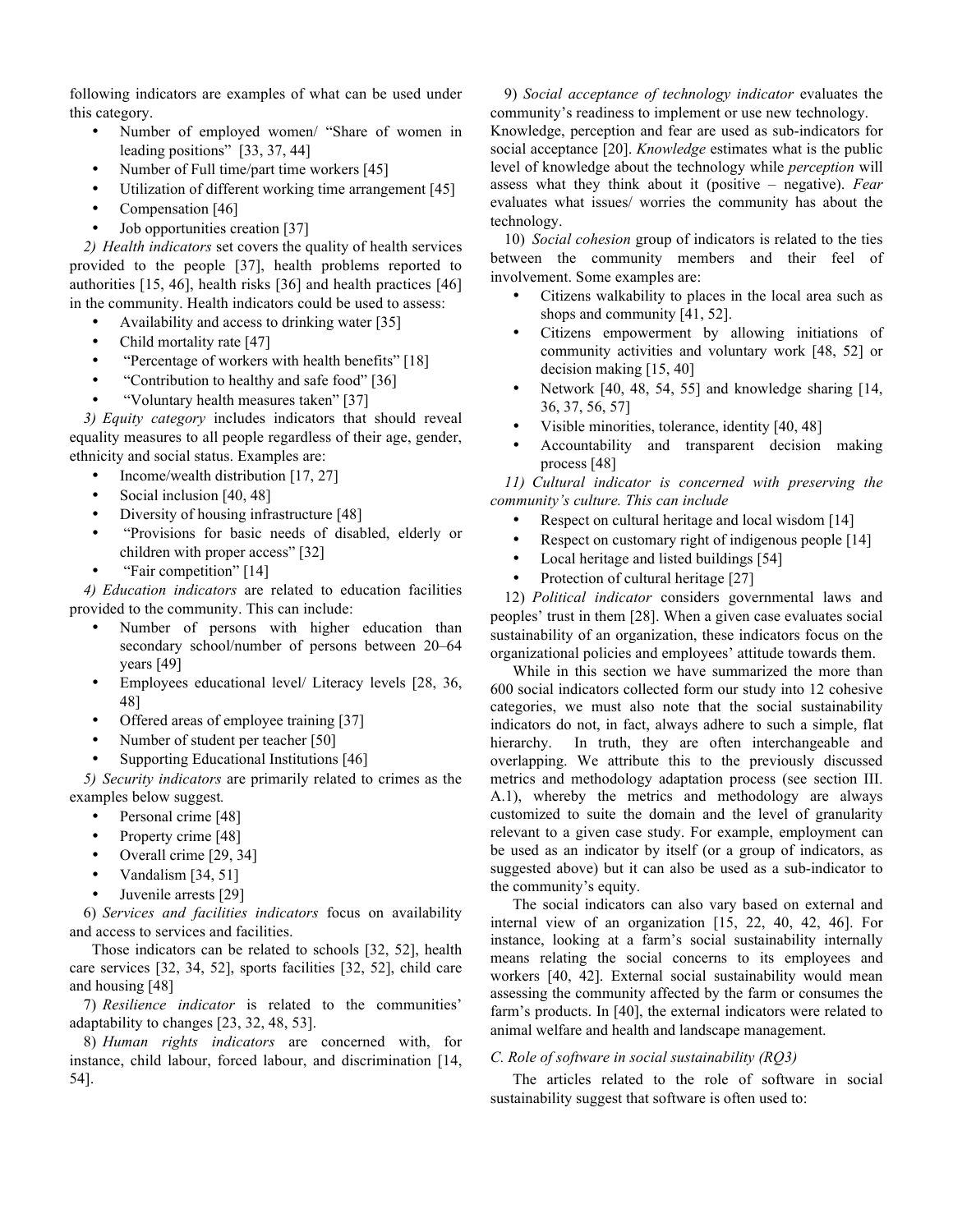following indicators are examples of what can be used under this category.

- Number of employed women/ "Share of women in leading positions" [33, 37, 44]
- Number of Full time/part time workers [45]
- Utilization of different working time arrangement [45]
- Compensation [46]
- Job opportunities creation [37]

*2) Health indicators* set covers the quality of health services provided to the people [37], health problems reported to authorities [15, 46], health risks [36] and health practices [46] in the community. Health indicators could be used to assess:

- Availability and access to drinking water [35]
- Child mortality rate [47]
- "Percentage of workers with health benefits" [18]
- "Contribution to healthy and safe food" [36]
- "Voluntary health measures taken" [37]

*3) Equity category* includes indicators that should reveal equality measures to all people regardless of their age, gender, ethnicity and social status. Examples are:

- Income/wealth distribution [17, 27]
- Social inclusion [40, 48]
- Diversity of housing infrastructure [48]
- "Provisions for basic needs of disabled, elderly or children with proper access" [32]
- "Fair competition" [14]

*4) Education indicators* are related to education facilities provided to the community. This can include:

- Number of persons with higher education than secondary school/number of persons between 20–64 years [49]
- Employees educational level/ Literacy levels [28, 36, 48]
- Offered areas of employee training [37]
- Number of student per teacher [50]
- Supporting Educational Institutions [46]

*5) Security indicators* are primarily related to crimes as the examples below suggest*.*

- Personal crime [48]
- Property crime [48]
- Overall crime [29, 34]
- Vandalism [34, 51]
- Juvenile arrests [29]

6) *Services and facilities indicators* focus on availability and access to services and facilities.

Those indicators can be related to schools [32, 52], health care services [32, 34, 52], sports facilities [32, 52], child care and housing [48]

7) *Resilience indicator* is related to the communities' adaptability to changes [23, 32, 48, 53].

8) *Human rights indicators* are concerned with, for instance, child labour, forced labour, and discrimination [14, 54].

9) *Social acceptance of technology indicator* evaluates the community's readiness to implement or use new technology.

Knowledge, perception and fear are used as sub-indicators for social acceptance [20]. *Knowledge* estimates what is the public level of knowledge about the technology while *perception* will assess what they think about it (positive – negative). *Fear* evaluates what issues/ worries the community has about the technology.

10) *Social cohesion* group of indicators is related to the ties between the community members and their feel of involvement. Some examples are:

- Citizens walkability to places in the local area such as shops and community [41, 52].
- Citizens empowerment by allowing initiations of community activities and voluntary work [48, 52] or decision making [15, 40]
- Network [40, 48, 54, 55] and knowledge sharing [14, 36, 37, 56, 57]
- Visible minorities, tolerance, identity [40, 48]
- Accountability and transparent decision making process [48]

*11) Cultural indicator is concerned with preserving the community's culture. This can include*

- Respect on cultural heritage and local wisdom [14]
- Respect on customary right of indigenous people [14]
- Local heritage and listed buildings [54]
- Protection of cultural heritage [27]

12) *Political indicator* considers governmental laws and peoples' trust in them [28]. When a given case evaluates social sustainability of an organization, these indicators focus on the organizational policies and employees' attitude towards them.

While in this section we have summarized the more than 600 social indicators collected form our study into 12 cohesive categories, we must also note that the social sustainability indicators do not, in fact, always adhere to such a simple, flat hierarchy. In truth, they are often interchangeable and overlapping. We attribute this to the previously discussed metrics and methodology adaptation process (see section III. A.1), whereby the metrics and methodology are always customized to suite the domain and the level of granularity relevant to a given case study. For example, employment can be used as an indicator by itself (or a group of indicators, as suggested above) but it can also be used as a sub-indicator to the community's equity.

The social indicators can also vary based on external and internal view of an organization [15, 22, 40, 42, 46]. For instance, looking at a farm's social sustainability internally means relating the social concerns to its employees and workers [40, 42]. External social sustainability would mean assessing the community affected by the farm or consumes the farm's products. In [40], the external indicators were related to animal welfare and health and landscape management.

## *C. Role of software in social sustainability (RQ3)*

The articles related to the role of software in social sustainability suggest that software is often used to: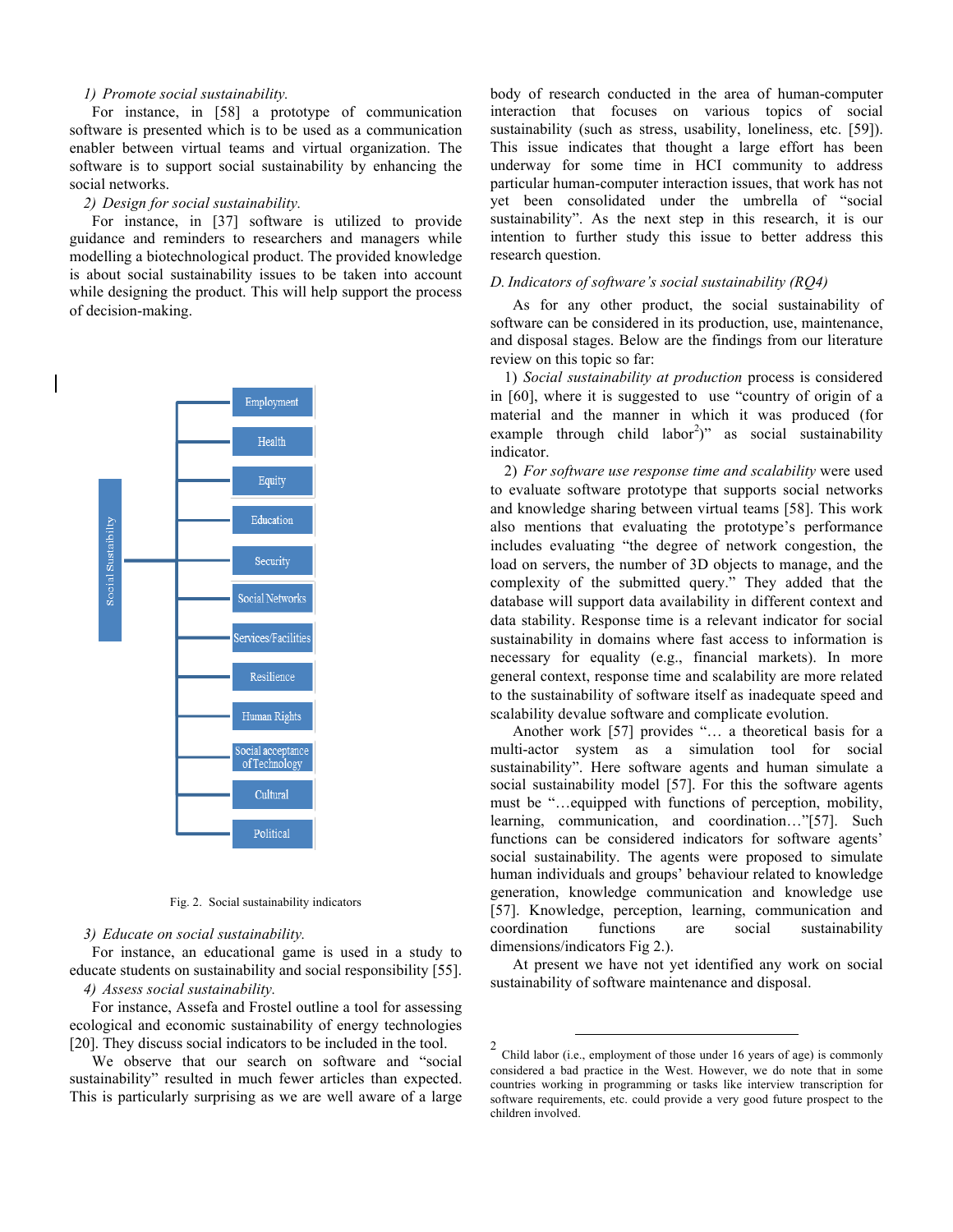## *1) Promote social sustainability.*

For instance, in [58] a prototype of communication software is presented which is to be used as a communication enabler between virtual teams and virtual organization. The software is to support social sustainability by enhancing the social networks.

## *2) Design for social sustainability.*

For instance, in [37] software is utilized to provide guidance and reminders to researchers and managers while modelling a biotechnological product. The provided knowledge is about social sustainability issues to be taken into account while designing the product. This will help support the process of decision-making.



Fig. 2. Social sustainability indicators

## *3) Educate on social sustainability.*

For instance, an educational game is used in a study to educate students on sustainability and social responsibility [55]. *4) Assess social sustainability.*

For instance, Assefa and Frostel outline a tool for assessing ecological and economic sustainability of energy technologies [20]. They discuss social indicators to be included in the tool.

We observe that our search on software and "social sustainability" resulted in much fewer articles than expected. This is particularly surprising as we are well aware of a large body of research conducted in the area of human-computer interaction that focuses on various topics of social sustainability (such as stress, usability, loneliness, etc. [59]). This issue indicates that thought a large effort has been underway for some time in HCI community to address particular human-computer interaction issues, that work has not yet been consolidated under the umbrella of "social sustainability". As the next step in this research, it is our intention to further study this issue to better address this research question.

## *D. Indicators of software's social sustainability (RQ4)*

As for any other product, the social sustainability of software can be considered in its production, use, maintenance, and disposal stages. Below are the findings from our literature review on this topic so far:

1) *Social sustainability at production* process is considered in [60], where it is suggested to use "country of origin of a material and the manner in which it was produced (for example through child  $labor<sup>2</sup>$ " as social sustainability indicator.

2) *For software use response time and scalability* were used to evaluate software prototype that supports social networks and knowledge sharing between virtual teams [58]. This work also mentions that evaluating the prototype's performance includes evaluating "the degree of network congestion, the load on servers, the number of 3D objects to manage, and the complexity of the submitted query." They added that the database will support data availability in different context and data stability. Response time is a relevant indicator for social sustainability in domains where fast access to information is necessary for equality (e.g., financial markets). In more general context, response time and scalability are more related to the sustainability of software itself as inadequate speed and scalability devalue software and complicate evolution.

Another work [57] provides "… a theoretical basis for a multi-actor system as a simulation tool for social sustainability". Here software agents and human simulate a social sustainability model [57]. For this the software agents must be "…equipped with functions of perception, mobility, learning, communication, and coordination…"[57]. Such functions can be considered indicators for software agents' social sustainability. The agents were proposed to simulate human individuals and groups' behaviour related to knowledge generation, knowledge communication and knowledge use [57]. Knowledge, perception, learning, communication and coordination functions are social sustainability dimensions/indicators Fig 2.).

At present we have not yet identified any work on social sustainability of software maintenance and disposal.

 <sup>2</sup> Child labor (i.e., employment of those under 16 years of age) is commonly considered a bad practice in the West. However, we do note that in some countries working in programming or tasks like interview transcription for software requirements, etc. could provide a very good future prospect to the children involved.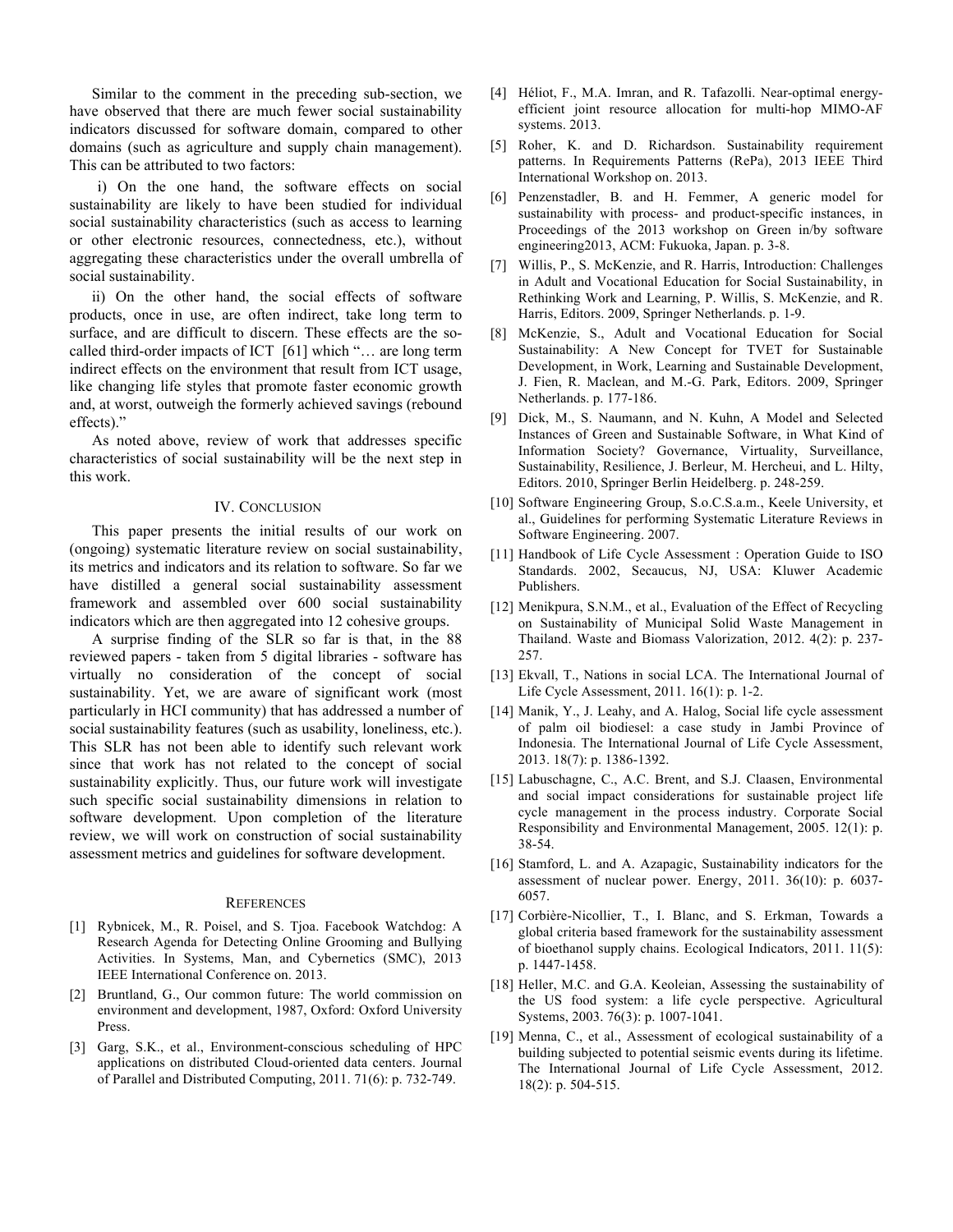Similar to the comment in the preceding sub-section, we have observed that there are much fewer social sustainability indicators discussed for software domain, compared to other domains (such as agriculture and supply chain management). This can be attributed to two factors:

i) On the one hand, the software effects on social sustainability are likely to have been studied for individual social sustainability characteristics (such as access to learning or other electronic resources, connectedness, etc.), without aggregating these characteristics under the overall umbrella of social sustainability.

ii) On the other hand, the social effects of software products, once in use, are often indirect, take long term to surface, and are difficult to discern. These effects are the socalled third-order impacts of ICT [61] which "… are long term indirect effects on the environment that result from ICT usage, like changing life styles that promote faster economic growth and, at worst, outweigh the formerly achieved savings (rebound effects)."

As noted above, review of work that addresses specific characteristics of social sustainability will be the next step in this work.

## IV. CONCLUSION

This paper presents the initial results of our work on (ongoing) systematic literature review on social sustainability, its metrics and indicators and its relation to software. So far we have distilled a general social sustainability assessment framework and assembled over 600 social sustainability indicators which are then aggregated into 12 cohesive groups.

A surprise finding of the SLR so far is that, in the 88 reviewed papers - taken from 5 digital libraries - software has virtually no consideration of the concept of social sustainability. Yet, we are aware of significant work (most particularly in HCI community) that has addressed a number of social sustainability features (such as usability, loneliness, etc.). This SLR has not been able to identify such relevant work since that work has not related to the concept of social sustainability explicitly. Thus, our future work will investigate such specific social sustainability dimensions in relation to software development. Upon completion of the literature review, we will work on construction of social sustainability assessment metrics and guidelines for software development.

#### **REFERENCES**

- [1] Rybnicek, M., R. Poisel, and S. Tjoa. Facebook Watchdog: A Research Agenda for Detecting Online Grooming and Bullying Activities. In Systems, Man, and Cybernetics (SMC), 2013 IEEE International Conference on. 2013.
- [2] Bruntland, G., Our common future: The world commission on environment and development, 1987, Oxford: Oxford University Press.
- [3] Garg, S.K., et al., Environment-conscious scheduling of HPC applications on distributed Cloud-oriented data centers. Journal of Parallel and Distributed Computing, 2011. 71(6): p. 732-749.
- [4] Héliot, F., M.A. Imran, and R. Tafazolli. Near-optimal energyefficient joint resource allocation for multi-hop MIMO-AF systems. 2013.
- [5] Roher, K. and D. Richardson. Sustainability requirement patterns. In Requirements Patterns (RePa), 2013 IEEE Third International Workshop on. 2013.
- [6] Penzenstadler, B. and H. Femmer, A generic model for sustainability with process- and product-specific instances, in Proceedings of the 2013 workshop on Green in/by software engineering2013, ACM: Fukuoka, Japan. p. 3-8.
- [7] Willis, P., S. McKenzie, and R. Harris, Introduction: Challenges in Adult and Vocational Education for Social Sustainability, in Rethinking Work and Learning, P. Willis, S. McKenzie, and R. Harris, Editors. 2009, Springer Netherlands. p. 1-9.
- [8] McKenzie, S., Adult and Vocational Education for Social Sustainability: A New Concept for TVET for Sustainable Development, in Work, Learning and Sustainable Development, J. Fien, R. Maclean, and M.-G. Park, Editors. 2009, Springer Netherlands. p. 177-186.
- [9] Dick, M., S. Naumann, and N. Kuhn, A Model and Selected Instances of Green and Sustainable Software, in What Kind of Information Society? Governance, Virtuality, Surveillance, Sustainability, Resilience, J. Berleur, M. Hercheui, and L. Hilty, Editors. 2010, Springer Berlin Heidelberg. p. 248-259.
- [10] Software Engineering Group, S.o.C.S.a.m., Keele University, et al., Guidelines for performing Systematic Literature Reviews in Software Engineering. 2007.
- [11] Handbook of Life Cycle Assessment : Operation Guide to ISO Standards. 2002, Secaucus, NJ, USA: Kluwer Academic Publishers.
- [12] Menikpura, S.N.M., et al., Evaluation of the Effect of Recycling on Sustainability of Municipal Solid Waste Management in Thailand. Waste and Biomass Valorization, 2012. 4(2): p. 237- 257.
- [13] Ekvall, T., Nations in social LCA. The International Journal of Life Cycle Assessment, 2011. 16(1): p. 1-2.
- [14] Manik, Y., J. Leahy, and A. Halog, Social life cycle assessment of palm oil biodiesel: a case study in Jambi Province of Indonesia. The International Journal of Life Cycle Assessment, 2013. 18(7): p. 1386-1392.
- [15] Labuschagne, C., A.C. Brent, and S.J. Claasen, Environmental and social impact considerations for sustainable project life cycle management in the process industry. Corporate Social Responsibility and Environmental Management, 2005. 12(1): p. 38-54.
- [16] Stamford, L. and A. Azapagic, Sustainability indicators for the assessment of nuclear power. Energy, 2011. 36(10): p. 6037- 6057.
- [17] Corbière-Nicollier, T., I. Blanc, and S. Erkman, Towards a global criteria based framework for the sustainability assessment of bioethanol supply chains. Ecological Indicators, 2011. 11(5): p. 1447-1458.
- [18] Heller, M.C. and G.A. Keoleian, Assessing the sustainability of the US food system: a life cycle perspective. Agricultural Systems, 2003. 76(3): p. 1007-1041.
- [19] Menna, C., et al., Assessment of ecological sustainability of a building subjected to potential seismic events during its lifetime. The International Journal of Life Cycle Assessment, 2012. 18(2): p. 504-515.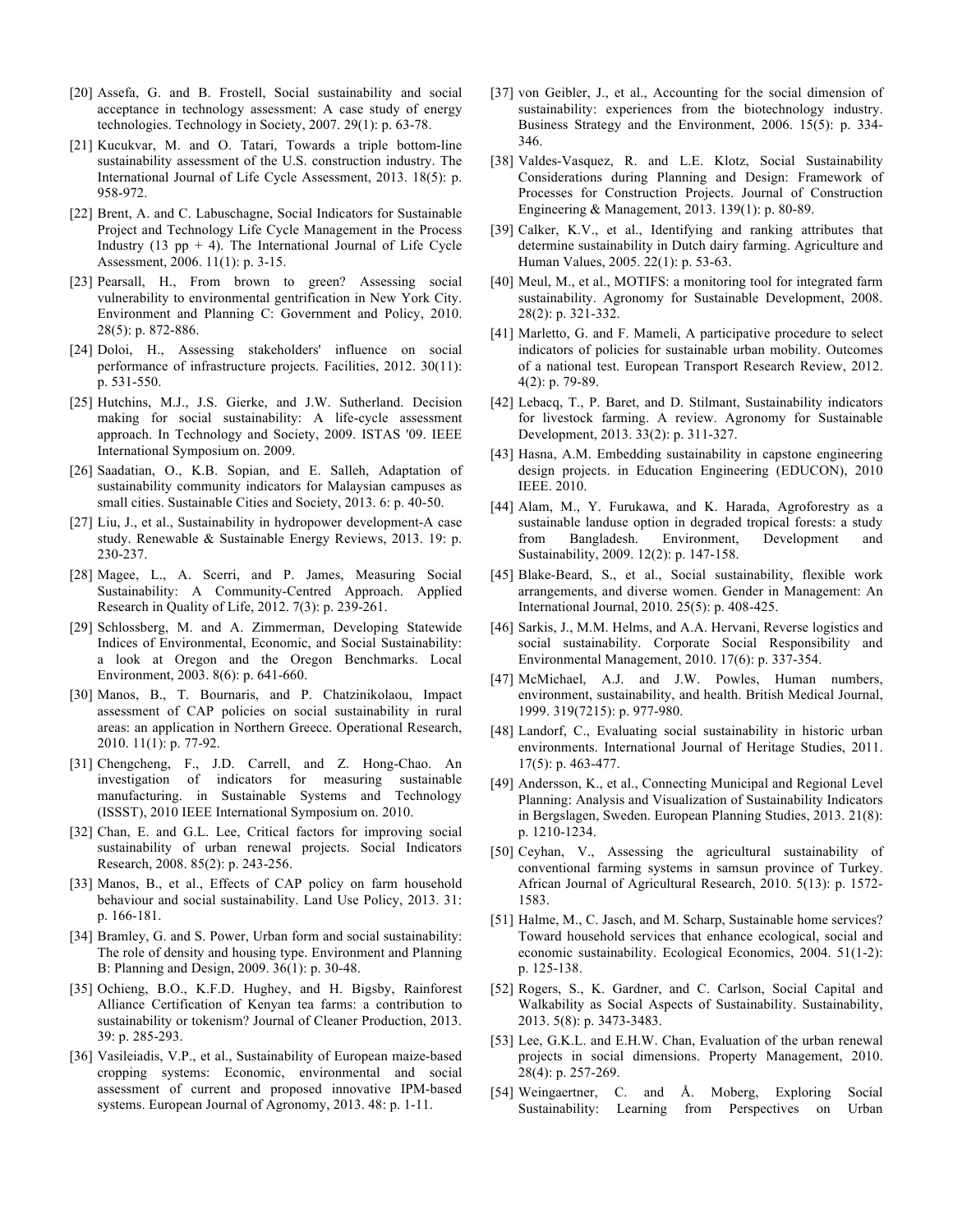- [20] Assefa, G. and B. Frostell, Social sustainability and social acceptance in technology assessment: A case study of energy technologies. Technology in Society, 2007. 29(1): p. 63-78.
- [21] Kucukvar, M. and O. Tatari, Towards a triple bottom-line sustainability assessment of the U.S. construction industry. The International Journal of Life Cycle Assessment, 2013. 18(5): p. 958-972.
- [22] Brent, A. and C. Labuschagne, Social Indicators for Sustainable Project and Technology Life Cycle Management in the Process Industry (13 pp  $+$  4). The International Journal of Life Cycle Assessment, 2006. 11(1): p. 3-15.
- [23] Pearsall, H., From brown to green? Assessing social vulnerability to environmental gentrification in New York City. Environment and Planning C: Government and Policy, 2010. 28(5): p. 872-886.
- [24] Doloi, H., Assessing stakeholders' influence on social performance of infrastructure projects. Facilities, 2012. 30(11): p. 531-550.
- [25] Hutchins, M.J., J.S. Gierke, and J.W. Sutherland. Decision making for social sustainability: A life-cycle assessment approach. In Technology and Society, 2009. ISTAS '09. IEEE International Symposium on. 2009.
- [26] Saadatian, O., K.B. Sopian, and E. Salleh, Adaptation of sustainability community indicators for Malaysian campuses as small cities. Sustainable Cities and Society, 2013. 6: p. 40-50.
- [27] Liu, J., et al., Sustainability in hydropower development-A case study. Renewable & Sustainable Energy Reviews, 2013. 19: p. 230-237.
- [28] Magee, L., A. Scerri, and P. James, Measuring Social Sustainability: A Community-Centred Approach. Applied Research in Quality of Life, 2012. 7(3): p. 239-261.
- [29] Schlossberg, M. and A. Zimmerman, Developing Statewide Indices of Environmental, Economic, and Social Sustainability: a look at Oregon and the Oregon Benchmarks. Local Environment, 2003. 8(6): p. 641-660.
- [30] Manos, B., T. Bournaris, and P. Chatzinikolaou, Impact assessment of CAP policies on social sustainability in rural areas: an application in Northern Greece. Operational Research, 2010. 11(1): p. 77-92.
- [31] Chengcheng, F., J.D. Carrell, and Z. Hong-Chao. An investigation of indicators for measuring sustainable manufacturing. in Sustainable Systems and Technology (ISSST), 2010 IEEE International Symposium on. 2010.
- [32] Chan, E. and G.L. Lee, Critical factors for improving social sustainability of urban renewal projects. Social Indicators Research, 2008. 85(2): p. 243-256.
- [33] Manos, B., et al., Effects of CAP policy on farm household behaviour and social sustainability. Land Use Policy, 2013. 31: p. 166-181.
- [34] Bramley, G. and S. Power, Urban form and social sustainability: The role of density and housing type. Environment and Planning B: Planning and Design, 2009. 36(1): p. 30-48.
- [35] Ochieng, B.O., K.F.D. Hughey, and H. Bigsby, Rainforest Alliance Certification of Kenyan tea farms: a contribution to sustainability or tokenism? Journal of Cleaner Production, 2013. 39: p. 285-293.
- [36] Vasileiadis, V.P., et al., Sustainability of European maize-based cropping systems: Economic, environmental and social assessment of current and proposed innovative IPM-based systems. European Journal of Agronomy, 2013. 48: p. 1-11.
- [37] von Geibler, J., et al., Accounting for the social dimension of sustainability: experiences from the biotechnology industry. Business Strategy and the Environment, 2006. 15(5): p. 334- 346.
- [38] Valdes-Vasquez, R. and L.E. Klotz, Social Sustainability Considerations during Planning and Design: Framework of Processes for Construction Projects. Journal of Construction Engineering & Management, 2013. 139(1): p. 80-89.
- [39] Calker, K.V., et al., Identifying and ranking attributes that determine sustainability in Dutch dairy farming. Agriculture and Human Values, 2005. 22(1): p. 53-63.
- [40] Meul, M., et al., MOTIFS: a monitoring tool for integrated farm sustainability. Agronomy for Sustainable Development, 2008. 28(2): p. 321-332.
- [41] Marletto, G. and F. Mameli, A participative procedure to select indicators of policies for sustainable urban mobility. Outcomes of a national test. European Transport Research Review, 2012. 4(2): p. 79-89.
- [42] Lebacq, T., P. Baret, and D. Stilmant, Sustainability indicators for livestock farming. A review. Agronomy for Sustainable Development, 2013. 33(2): p. 311-327.
- [43] Hasna, A.M. Embedding sustainability in capstone engineering design projects. in Education Engineering (EDUCON), 2010 IEEE. 2010.
- [44] Alam, M., Y. Furukawa, and K. Harada, Agroforestry as a sustainable landuse option in degraded tropical forests: a study from Bangladesh. Environment, Development and Sustainability, 2009. 12(2): p. 147-158.
- [45] Blake-Beard, S., et al., Social sustainability, flexible work arrangements, and diverse women. Gender in Management: An International Journal, 2010. 25(5): p. 408-425.
- [46] Sarkis, J., M.M. Helms, and A.A. Hervani, Reverse logistics and social sustainability. Corporate Social Responsibility and Environmental Management, 2010. 17(6): p. 337-354.
- [47] McMichael, A.J. and J.W. Powles, Human numbers, environment, sustainability, and health. British Medical Journal, 1999. 319(7215): p. 977-980.
- [48] Landorf, C., Evaluating social sustainability in historic urban environments. International Journal of Heritage Studies, 2011. 17(5): p. 463-477.
- [49] Andersson, K., et al., Connecting Municipal and Regional Level Planning: Analysis and Visualization of Sustainability Indicators in Bergslagen, Sweden. European Planning Studies, 2013. 21(8): p. 1210-1234.
- [50] Ceyhan, V., Assessing the agricultural sustainability of conventional farming systems in samsun province of Turkey. African Journal of Agricultural Research, 2010. 5(13): p. 1572- 1583.
- [51] Halme, M., C. Jasch, and M. Scharp, Sustainable home services? Toward household services that enhance ecological, social and economic sustainability. Ecological Economics, 2004. 51(1-2): p. 125-138.
- [52] Rogers, S., K. Gardner, and C. Carlson, Social Capital and Walkability as Social Aspects of Sustainability. Sustainability, 2013. 5(8): p. 3473-3483.
- [53] Lee, G.K.L. and E.H.W. Chan, Evaluation of the urban renewal projects in social dimensions. Property Management, 2010. 28(4): p. 257-269.
- [54] Weingaertner, C. and Å. Moberg, Exploring Social Sustainability: Learning from Perspectives on Urban